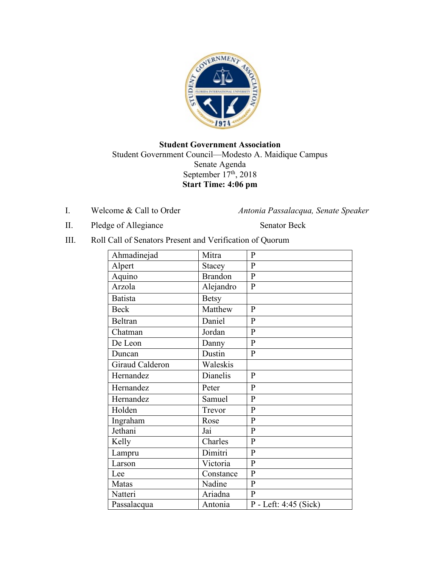

## **Student Government Association** Student Government Council—Modesto A. Maidique Campus Senate Agenda September  $17<sup>th</sup>$ , 2018 **Start Time: 4:06 pm**

I. Welcome & Call to Order *Antonia Passalacqua, Senate Speaker* 

II. Pledge of Allegiance Senator Beck

III. Roll Call of Senators Present and Verification of Quorum

| Ahmadinejad     | Mitra          | $\mathbf P$           |
|-----------------|----------------|-----------------------|
| Alpert          | Stacey         | $\overline{P}$        |
| Aquino          | <b>Brandon</b> | $\overline{P}$        |
| Arzola          | Alejandro      | $\mathbf{P}$          |
| <b>Batista</b>  | <b>Betsy</b>   |                       |
| <b>Beck</b>     | Matthew        | $\mathbf{P}$          |
| Beltran         | Daniel         | $\mathbf{P}$          |
| Chatman         | Jordan         | $\overline{P}$        |
| De Leon         | Danny          | $\mathbf{P}$          |
| Duncan          | Dustin         | $\mathbf{P}$          |
| Giraud Calderon | Waleskis       |                       |
| Hernandez       | Dianelis       | $\mathbf{P}$          |
| Hernandez       | Peter          | $\mathbf{P}$          |
| Hernandez       | Samuel         | $\mathbf{P}$          |
| Holden          | Trevor         | $\mathbf{P}$          |
| Ingraham        | Rose           | $\mathbf{P}$          |
| Jethani         | Jai            | $\mathbf{P}$          |
| Kelly           | Charles        | $\mathbf{P}$          |
| Lampru          | Dimitri        | $\mathbf P$           |
| Larson          | Victoria       | $\mathbf{P}$          |
| Lee             | Constance      | $\mathbf{P}$          |
| Matas           | Nadine         | ${\bf P}$             |
| Natteri         | Ariadna        | $\mathbf{P}$          |
| Passalacqua     | Antonia        | P - Left: 4:45 (Sick) |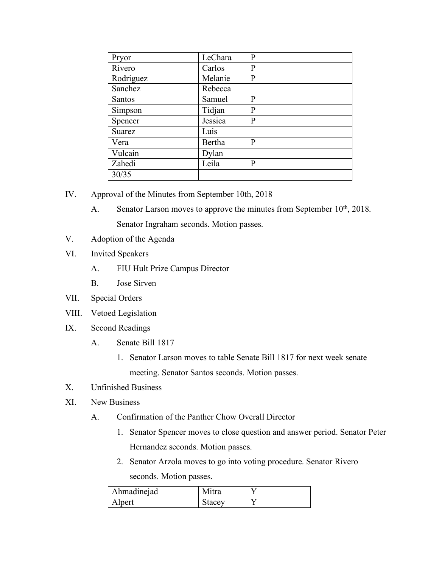| Pryor         | LeChara | P |
|---------------|---------|---|
| Rivero        | Carlos  | P |
| Rodriguez     | Melanie | P |
| Sanchez       | Rebecca |   |
| <b>Santos</b> | Samuel  | P |
| Simpson       | Tidjan  | P |
| Spencer       | Jessica | P |
| Suarez        | Luis    |   |
| Vera          | Bertha  | P |
| Vulcain       | Dylan   |   |
| Zahedi        | Leila   | P |
| 30/35         |         |   |

- IV. Approval of the Minutes from September 10th, 2018
	- A. Senator Larson moves to approve the minutes from September  $10<sup>th</sup>$ , 2018. Senator Ingraham seconds. Motion passes.
- V. Adoption of the Agenda
- VI. Invited Speakers
	- A. FIU Hult Prize Campus Director
	- B. Jose Sirven
- VII. Special Orders
- VIII. Vetoed Legislation
- IX. Second Readings
	- A. Senate Bill 1817
		- 1. Senator Larson moves to table Senate Bill 1817 for next week senate meeting. Senator Santos seconds. Motion passes.
- X. Unfinished Business
- XI. New Business
	- A. Confirmation of the Panther Chow Overall Director
		- 1. Senator Spencer moves to close question and answer period. Senator Peter Hernandez seconds. Motion passes.
		- 2. Senator Arzola moves to go into voting procedure. Senator Rivero seconds. Motion passes.

| Ahmadinejad | Mıtra  |  |
|-------------|--------|--|
| Alpert      | stacey |  |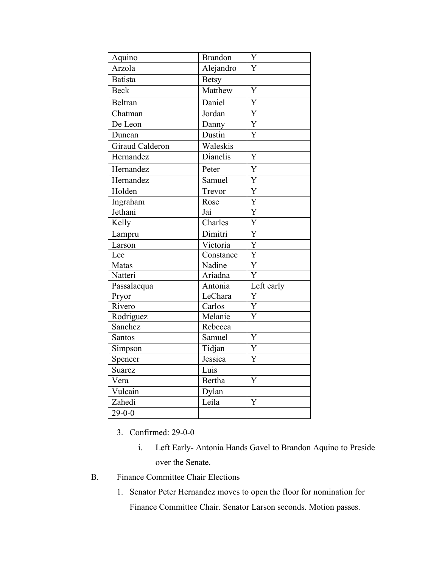| Aquino                 | <b>Brandon</b>              | Y                         |
|------------------------|-----------------------------|---------------------------|
| Arzola                 | Alejandro                   | Ý                         |
| <b>Batista</b>         | <b>Betsy</b>                |                           |
| <b>Beck</b>            | Matthew                     | $\overline{\text{Y}}$     |
| <b>Beltran</b>         | Daniel                      | $\overline{\text{Y}}$     |
| Chatman                | Jordan                      | $\overline{Y}$            |
| De Leon                | Danny                       | $\overline{\text{Y}}$     |
| Duncan                 | Dustin                      | $\overline{\text{Y}}$     |
| <b>Giraud Calderon</b> | Waleskis                    |                           |
| Hernandez              | Dianelis                    | Y                         |
| Hernandez              | Peter                       | $\overline{Y}$            |
| Hernandez              | Samuel                      | $\overline{Y}$            |
| Holden                 | Trevor                      | $\overline{Y}$            |
| Ingraham               | Rose                        | $\overline{\text{Y}}$     |
| Jethani                | Jai                         | $\overline{\text{Y}}$     |
| Kelly                  | $\overline{\text{Charles}}$ | $\overline{\text{Y}}$     |
| Lampru                 | Dimitri                     | $\overline{Y}$            |
| Larson                 | Victoria                    | $\overline{Y}$            |
| Lee                    | Constance                   | $\overline{\text{Y}}$     |
| Matas                  | Nadine                      | $\overline{\text{Y}}$     |
| Natteri                | Ariadna                     | $\overline{\overline{Y}}$ |
| Passalacqua            | Antonia                     | Left early                |
| Pryor                  | LeChara                     | Y                         |
| Rivero                 | Carlos                      | $\overline{Y}$            |
| Rodriguez              | Melanie                     | $\overline{\text{Y}}$     |
| Sanchez                | Rebecca                     |                           |
| Santos                 | Samuel                      | Y                         |
| Simpson                | Tidjan                      | Y                         |
| Spencer                | Jessica                     | Y                         |
| <b>Suarez</b>          | Luis                        |                           |
| Vera                   | <b>Bertha</b>               | Y                         |
| Vulcain                | Dylan                       |                           |
| Zahedi                 | Leila                       | Y                         |
| $29 - 0 - 0$           |                             |                           |

- 3. Confirmed: 29-0-0
	- i. Left Early- Antonia Hands Gavel to Brandon Aquino to Preside over the Senate.
- B. Finance Committee Chair Elections
	- 1. Senator Peter Hernandez moves to open the floor for nomination for Finance Committee Chair. Senator Larson seconds. Motion passes.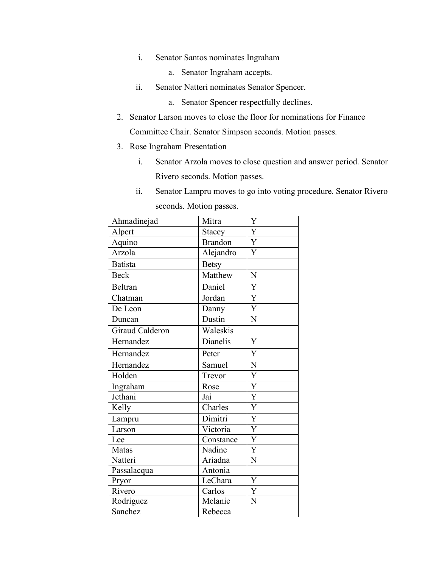- i. Senator Santos nominates Ingraham
	- a. Senator Ingraham accepts.
- ii. Senator Natteri nominates Senator Spencer.
	- a. Senator Spencer respectfully declines.
- 2. Senator Larson moves to close the floor for nominations for Finance Committee Chair. Senator Simpson seconds. Motion passes.
- 3. Rose Ingraham Presentation
	- i. Senator Arzola moves to close question and answer period. Senator Rivero seconds. Motion passes.
	- ii. Senator Lampru moves to go into voting procedure. Senator Rivero seconds. Motion passes.

| Ahmadinejad     | Mitra          | Y                     |
|-----------------|----------------|-----------------------|
| Alpert          | <b>Stacey</b>  | Y                     |
| Aquino          | <b>Brandon</b> | Y                     |
| Arzola          | Alejandro      | $\overline{Y}$        |
| <b>Batista</b>  | <b>Betsy</b>   |                       |
| <b>Beck</b>     | Matthew        | N                     |
| <b>Beltran</b>  | Daniel         | Y                     |
| Chatman         | Jordan         | $\overline{Y}$        |
| De Leon         | Danny          | $\overline{Y}$        |
| Duncan          | Dustin         | N                     |
| Giraud Calderon | Waleskis       |                       |
| Hernandez       | Dianelis       | Y                     |
| Hernandez       | Peter          | $\overline{Y}$        |
| Hernandez       | Samuel         | N                     |
| Holden          | Trevor         | $\overline{Y}$        |
| Ingraham        | Rose           | $\overline{\text{Y}}$ |
| Jethani         | Jai            | $\overline{Y}$        |
| Kelly           | Charles        | $\overline{\text{Y}}$ |
| Lampru          | Dimitri        | Y                     |
| Larson          | Victoria       | $\overline{\text{Y}}$ |
| Lee             | Constance      | Y                     |
| Matas           | Nadine         | $\overline{Y}$        |
| Natteri         | Ariadna        | N                     |
| Passalacqua     | Antonia        |                       |
| Pryor           | LeChara        | $\overline{Y}$        |
| Rivero          | Carlos         | $\overline{\text{Y}}$ |
| Rodriguez       | Melanie        | N                     |
| Sanchez         | Rebecca        |                       |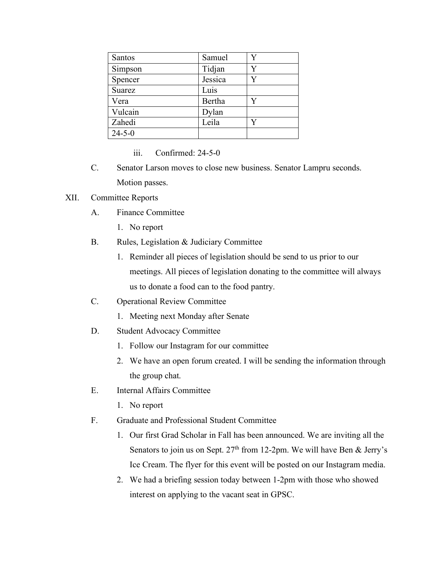| <b>Santos</b> | Samuel  |  |
|---------------|---------|--|
| Simpson       | Tidjan  |  |
| Spencer       | Jessica |  |
| Suarez        | Luis    |  |
| Vera          | Bertha  |  |
| Vulcain       | Dylan   |  |
| Zahedi        | Leila   |  |
| $24 - 5 - 0$  |         |  |

## iii. Confirmed: 24-5-0

C. Senator Larson moves to close new business. Senator Lampru seconds. Motion passes.

## XII. Committee Reports

- A. Finance Committee
	- 1. No report
- B. Rules, Legislation & Judiciary Committee
	- 1. Reminder all pieces of legislation should be send to us prior to our meetings. All pieces of legislation donating to the committee will always us to donate a food can to the food pantry.
- C. Operational Review Committee
	- 1. Meeting next Monday after Senate
- D. Student Advocacy Committee
	- 1. Follow our Instagram for our committee
	- 2. We have an open forum created. I will be sending the information through the group chat.
- E. Internal Affairs Committee
	- 1. No report
- F. Graduate and Professional Student Committee
	- 1. Our first Grad Scholar in Fall has been announced. We are inviting all the Senators to join us on Sept.  $27<sup>th</sup>$  from 12-2pm. We will have Ben & Jerry's Ice Cream. The flyer for this event will be posted on our Instagram media.
	- 2. We had a briefing session today between 1-2pm with those who showed interest on applying to the vacant seat in GPSC.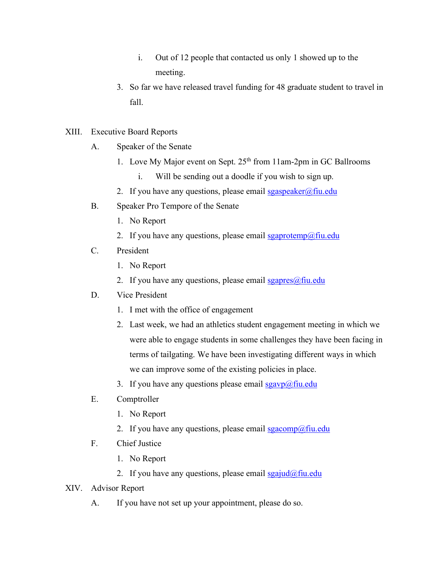- i. Out of 12 people that contacted us only 1 showed up to the meeting.
- 3. So far we have released travel funding for 48 graduate student to travel in fall.
- XIII. Executive Board Reports
	- A. Speaker of the Senate
		- 1. Love My Major event on Sept. 25<sup>th</sup> from 11am-2pm in GC Ballrooms
			- i. Will be sending out a doodle if you wish to sign up.
		- 2. If you have any questions, please email sgaspeaker@fiu.edu
	- B. Speaker Pro Tempore of the Senate
		- 1. No Report
		- 2. If you have any questions, please email  $sgaprotemp@final$
	- C. President
		- 1. No Report
		- 2. If you have any questions, please email  $sgapres(\omega)$ fiu.edu
	- D. Vice President
		- 1. I met with the office of engagement
		- 2. Last week, we had an athletics student engagement meeting in which we were able to engage students in some challenges they have been facing in terms of tailgating. We have been investigating different ways in which we can improve some of the existing policies in place.
		- 3. If you have any questions please email  $sgavp(\omega)$ fiu.edu
	- E. Comptroller
		- 1. No Report
		- 2. If you have any questions, please email  $sgacomp(\omega)$ fiu.edu
	- F. Chief Justice
		- 1. No Report
		- 2. If you have any questions, please email  $sgaiud@final$
- XIV. Advisor Report
	- A. If you have not set up your appointment, please do so.